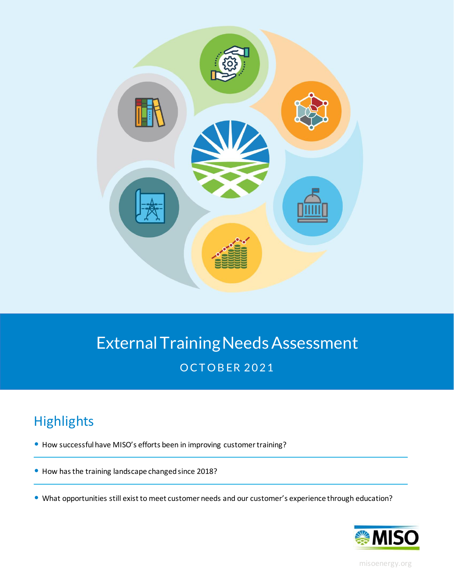

# External Training Needs Assessment **OCTOBER 2021**

# **Highlights**

- How successful have MISO's efforts been in improving customer training?
- How has the training landscape changed since 2018?
- What opportunities still exist to meet customer needs and our customer's experience through education?



[misoenergy.org](https://www.misoenergy.org/)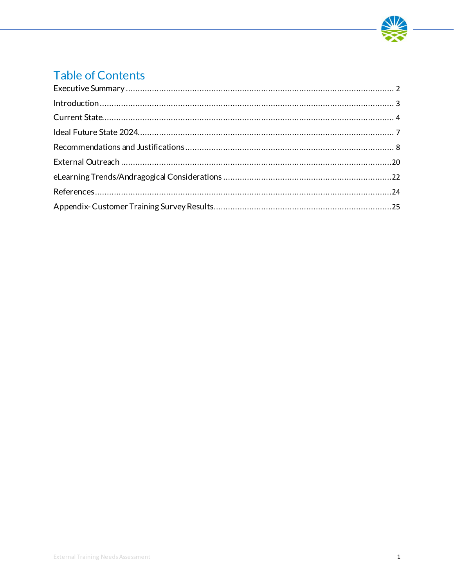

## **Table of Contents**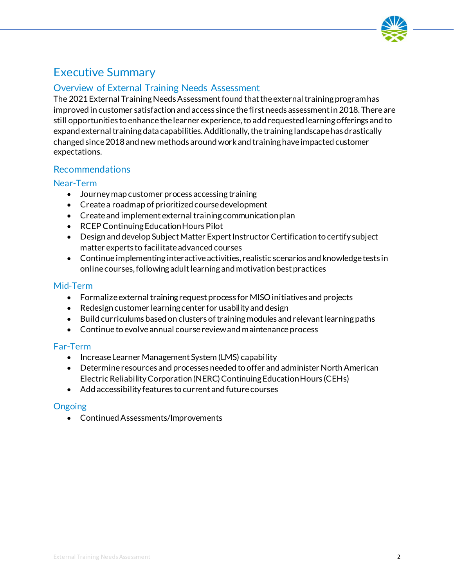

## <span id="page-2-0"></span>Executive Summary

### Overview of External Training Needs Assessment

The 2021 External Training Needs Assessment found that the external training program has improved in customer satisfaction and access since the first needs assessment in 2018. There are still opportunities to enhance the learner experience, to add requested learning offerings and to expand external training data capabilities. Additionally, the training landscape has drastically changed since 2018 and new methods around work and training have impacted customer expectations.

#### Recommendations

#### Near-Term

- Journey map customer process accessing training
- Create a roadmap of prioritized course development
- Create and implement external training communication plan
- RCEP Continuing Education Hours Pilot
- Design and develop Subject Matter Expert Instructor Certification to certify subject matter experts to facilitate advanced courses
- Continue implementing interactive activities, realistic scenarios and knowledge tests in online courses,following adult learning and motivation best practices

#### Mid-Term

- Formalize external training request process for MISO initiatives and projects
- Redesign customer learning center for usability and design
- Build curriculums based on clusters of training modules and relevant learning paths
- Continue to evolve annual course review and maintenance process

#### Far-Term

- Increase Learner Management System (LMS) capability
- Determine resources and processes needed to offer and administer North American Electric Reliability Corporation (NERC) Continuing Education Hours (CEHs)
- Add accessibility features to current and future courses

### **Ongoing**

• Continued Assessments/Improvements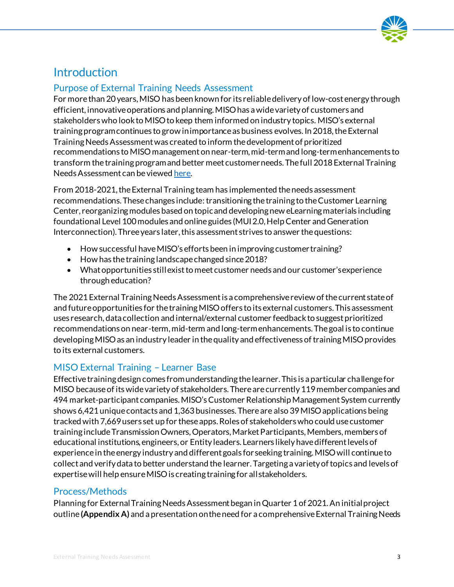

## <span id="page-3-0"></span>**Introduction**

### Purpose of External Training Needs Assessment

For more than 20 years, MISO has been known for its reliable delivery of low-cost energy through efficient, innovative operations and planning. MISO has a wide variety of customers and stakeholders who look to MISO to keep them informed on industry topics. MISO's external training program continues to grow in importance as business evolves. In 2018, the External Training Needs Assessment was created to inform the development of prioritized recommendations to MISO management on near-term, mid-term and long-term enhancements to transform the training program and better meet customer needs. The full 2018 External Training Needs Assessment can be viewe[d here.](https://cdn.misoenergy.org/Customer%20Training%20Needs%20Assessment404324.pdf)

From 2018-2021, the External Training team has implemented the needs assessment recommendations. These changes include: transitioning the training to the Customer Learning Center, reorganizing modules based on topic and developing new eLearning materials including foundational Level 100 modules and online guides (MUI 2.0, Help Center and Generation Interconnection). Three years later, this assessment strives to answer the questions:

- How successful have MISO's efforts been in improving customer training?
- How has the training landscape changed since 2018?
- What opportunities still exist to meet customer needs and our customer's experience through education?

The 2021 External Training Needs Assessment is a comprehensive review of the current state of and future opportunities for the training MISO offers to its external customers. This assessment uses research, data collection and internal/external customer feedback to suggest prioritized recommendations on near-term, mid-term and long-term enhancements. The goal is to continue developing MISO as an industry leader in the quality and effectiveness of training MISO provides to its external customers.

### MISO External Training – Learner Base

Effective training design comes from understanding the learner. This is a particular challenge for MISO because of its wide variety of stakeholders. There are currently 119 member companies and 494 market-participant companies. MISO's Customer Relationship Management System currently shows 6,421 unique contacts and 1,363 businesses. There are also 39 MISO applications being tracked with 7,669 users set up for these apps. Roles of stakeholders who could use customer training include Transmission Owners, Operators, Market Participants, Members, members of educational institutions, engineers, or Entity leaders. Learners likely have different levels of experience in the energy industry and different goals for seeking training. MISO will continue to collect and verify data to better understand the learner. Targeting a variety of topics and levels of expertise will help ensure MISO is creating training for all stakeholders.

### Process/Methods

Planning for External Training Needs Assessment began in Quarter 1 of 2021. An initial project outline **(Appendix A)** and a presentation on the need for a comprehensive External Training Needs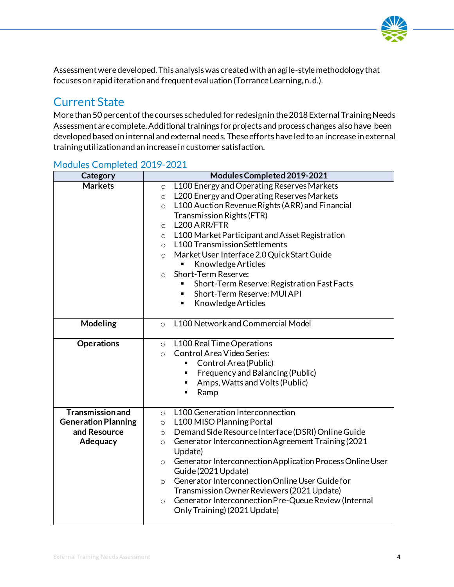

Assessment weredeveloped. This analysis was created with an agile-style methodology that focuses on rapid iteration and frequent evaluation (Torrance Learning, n. d.).

## <span id="page-4-0"></span>Current State

More than 50 percent of the courses scheduled for redesign in the 2018 External Training Needs Assessment are complete. Additional trainings for projects and process changes also have been developed based on internal and external needs. These efforts have led to an increase in external training utilization and an increase in customer satisfaction.

| Category                                                                          | Modules Completed 2019-2021                                                                                                                                                                                                                                                                                                                                                                                                                                                                                                                                                               |  |  |
|-----------------------------------------------------------------------------------|-------------------------------------------------------------------------------------------------------------------------------------------------------------------------------------------------------------------------------------------------------------------------------------------------------------------------------------------------------------------------------------------------------------------------------------------------------------------------------------------------------------------------------------------------------------------------------------------|--|--|
| <b>Markets</b>                                                                    | L100 Energy and Operating Reserves Markets<br>$\circ$<br>L200 Energy and Operating Reserves Markets<br>$\circ$<br>L100 Auction Revenue Rights (ARR) and Financial<br>$\circ$<br><b>Transmission Rights (FTR)</b><br>L200 ARR/FTR<br>$\circ$<br>L100 Market Participant and Asset Registration<br>$\circ$<br>L100 Transmission Settlements<br>$\circ$<br>Market User Interface 2.0 Quick Start Guide<br>$\circ$<br>Knowledge Articles<br>٠<br>Short-Term Reserve:<br>$\circ$<br>Short-Term Reserve: Registration Fast Facts<br>٠<br>Short-Term Reserve: MUI API<br>Knowledge Articles<br>٠ |  |  |
| <b>Modeling</b>                                                                   | L100 Network and Commercial Model<br>$\Omega$                                                                                                                                                                                                                                                                                                                                                                                                                                                                                                                                             |  |  |
| <b>Operations</b>                                                                 | L100 Real Time Operations<br>$\circ$<br>Control Area Video Series:<br>$\circ$<br>Control Area (Public)<br>Frequency and Balancing (Public)<br>٠<br>Amps, Watts and Volts (Public)<br>Ramp<br>٠                                                                                                                                                                                                                                                                                                                                                                                            |  |  |
| <b>Transmission and</b><br><b>Generation Planning</b><br>and Resource<br>Adequacy | L100 Generation Interconnection<br>$\circ$<br>L100 MISO Planning Portal<br>$\circ$<br>Demand Side Resource Interface (DSRI) Online Guide<br>$\circ$<br><b>Generator Interconnection Agreement Training (2021)</b><br>$\circ$<br>Update)<br>Generator Interconnection Application Process Online User<br>$\circ$<br>Guide (2021 Update)<br>Generator Interconnection Online User Guide for<br>$\circ$<br>Transmission Owner Reviewers (2021 Update)<br>Generator Interconnection Pre-Queue Review (Internal<br>$\circ$<br>Only Training) (2021 Update)                                     |  |  |

### Modules Completed 2019-2021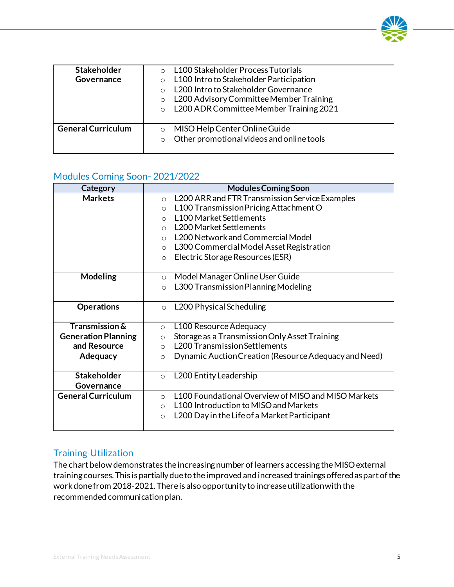| <b>Stakeholder</b><br>Governance | L100 Stakeholder Process Tutorials<br>L100 Intro to Stakeholder Participation<br>$\circ$<br>L200 Intro to Stakeholder Governance<br>$\bigcap$<br>L200 Advisory Committee Member Training<br>$\circ$<br>L200 ADR Committee Member Training 2021<br>$\circ$ |
|----------------------------------|-----------------------------------------------------------------------------------------------------------------------------------------------------------------------------------------------------------------------------------------------------------|
| <b>General Curriculum</b>        | MISO Help Center Online Guide<br>$\circ$<br>Other promotional videos and online tools<br>$\circ$                                                                                                                                                          |

### Modules Coming Soon- 2021/2022

| Category                   | <b>Modules Coming Soon</b>                                       |
|----------------------------|------------------------------------------------------------------|
| <b>Markets</b>             | L200 ARR and FTR Transmission Service Examples<br>$\circ$        |
|                            | L100 Transmission Pricing Attachment O<br>$\circ$                |
|                            | <b>L100 Market Settlements</b><br>$\Omega$                       |
|                            | <b>L200 Market Settlements</b><br>$\bigcirc$                     |
|                            | L200 Network and Commercial Model<br>$\circ$                     |
|                            | L300 Commercial Model Asset Registration<br>$\circ$              |
|                            | Electric Storage Resources (ESR)<br>$\circ$                      |
|                            |                                                                  |
| <b>Modeling</b>            | Model Manager Online User Guide<br>$\circ$                       |
|                            | L300 Transmission Planning Modeling<br>$\circ$                   |
|                            |                                                                  |
| <b>Operations</b>          | L200 Physical Scheduling<br>$\Omega$                             |
|                            |                                                                  |
| <b>Transmission &amp;</b>  | L100 Resource Adequacy<br>$\circ$                                |
| <b>Generation Planning</b> | Storage as a Transmission Only Asset Training<br>$\circ$         |
| and Resource               | <b>L200 Transmission Settlements</b><br>$\circ$                  |
| Adequacy                   | Dynamic Auction Creation (Resource Adequacy and Need)<br>$\circ$ |
|                            |                                                                  |
| <b>Stakeholder</b>         | L200 Entity Leadership<br>$\circ$                                |
| Governance                 |                                                                  |
| <b>General Curriculum</b>  | L100 Foundational Overview of MISO and MISO Markets<br>$\circ$   |
|                            | L100 Introduction to MISO and Markets<br>$\circ$                 |
|                            | L200 Day in the Life of a Market Participant<br>$\circ$          |
|                            |                                                                  |

### Training Utilization

The chart below demonstrates the increasing number of learners accessing the MISO external training courses. This is partially due to the improved and increased trainings offered as part of the work done from 2018-2021. There is also opportunity to increase utilization with the recommended communication plan.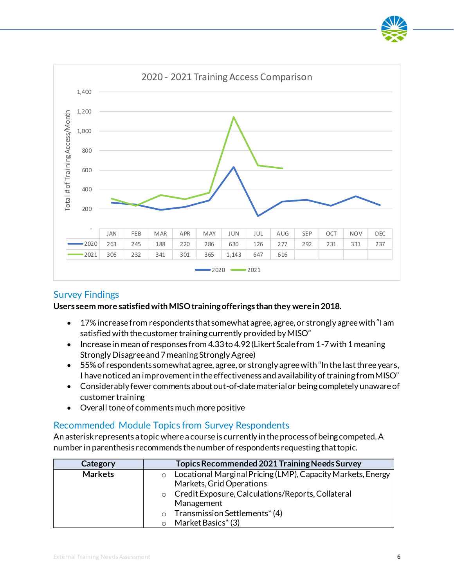

#### Survey Findings

#### **Users seem more satisfied with MISO training offerings than they were in 2018.**

- 17% increase from respondents that somewhat agree, agree, or strongly agree with "I am satisfied with the customer training currently provided by MISO"
- Increase in mean of responses from 4.33 to 4.92 (Likert Scale from 1-7 with 1 meaning Strongly Disagree and 7 meaning Strongly Agree)
- 55% of respondents somewhat agree, agree, or strongly agree with "In the last three years, I have noticed an improvement in the effectiveness and availability of training from MISO"
- Considerably fewer comments about out-of-date material or being completely unaware of customer training
- Overall tone of comments much more positive

### Recommended Module Topics from Survey Respondents

An asterisk represents a topic where a course is currently in the process of being competed. A number in parenthesis recommends the number of respondents requesting that topic.

| Category       | Topics Recommended 2021 Training Needs Survey                          |  |  |
|----------------|------------------------------------------------------------------------|--|--|
| <b>Markets</b> | Locational Marginal Pricing (LMP), Capacity Markets, Energy<br>$\circ$ |  |  |
|                | Markets, Grid Operations                                               |  |  |
|                | o Credit Exposure, Calculations/Reports, Collateral                    |  |  |
|                | Management                                                             |  |  |
|                | Transmission Settlements* (4)<br>$\circ$                               |  |  |
|                | Market Basics* (3)                                                     |  |  |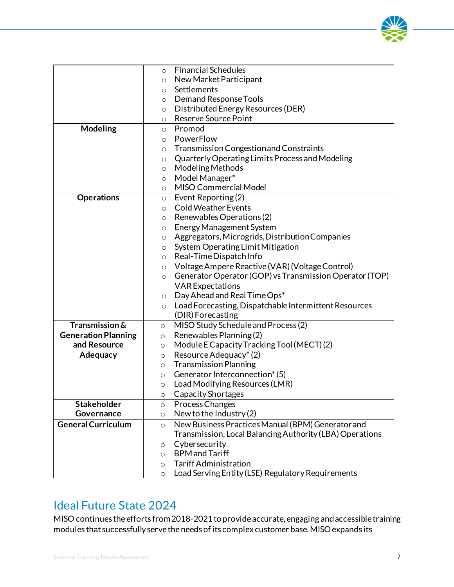

|                            | <b>Financial Schedules</b><br>$\circ$                              |
|----------------------------|--------------------------------------------------------------------|
|                            | New Market Participant<br>$\circ$                                  |
|                            | Settlements<br>$\circ$                                             |
|                            | <b>Demand Response Tools</b><br>$\circ$                            |
|                            | Distributed Energy Resources (DER)<br>$\circ$                      |
|                            | <b>Reserve Source Point</b><br>$\circ$                             |
| <b>Modeling</b>            | Promod<br>$\circ$                                                  |
|                            | PowerFlow<br>$\circ$                                               |
|                            | Transmission Congestion and Constraints<br>$\circ$                 |
|                            | Quarterly Operating Limits Process and Modeling<br>$\circ$         |
|                            | <b>Modeling Methods</b><br>$\circ$                                 |
|                            | Model Manager*<br>$\circ$                                          |
|                            | MISO Commercial Model<br>$\circ$                                   |
| <b>Operations</b>          | Event Reporting(2)<br>$\circ$                                      |
|                            | <b>Cold Weather Events</b><br>$\circ$                              |
|                            | Renewables Operations (2)<br>$\circ$                               |
|                            | Energy Management System<br>$\circ$                                |
|                            | Aggregators, Microgrids, Distribution Companies<br>$\circ$         |
|                            | System Operating Limit Mitigation<br>$\circ$                       |
|                            | Real-Time Dispatch Info<br>$\circ$                                 |
|                            | Voltage Ampere Reactive (VAR) (Voltage Control)<br>$\circ$         |
|                            | Generator Operator (GOP) vs Transmission Operator (TOP)<br>$\circ$ |
|                            | <b>VAR Expectations</b>                                            |
|                            | Day Ahead and Real Time Ops*<br>$\circ$                            |
|                            | Load Forecasting, Dispatchable Intermittent Resources<br>$\circ$   |
| <b>Transmission &amp;</b>  | (DIR) Forecasting<br>MISO Study Schedule and Process (2)           |
| <b>Generation Planning</b> | $\circ$<br>Renewables Planning(2)<br>$\circ$                       |
| and Resource               | Module E Capacity Tracking Tool (MECT) (2)<br>$\circ$              |
| Adequacy                   | Resource Adequacy* (2)<br>$\circ$                                  |
|                            | <b>Transmission Planning</b><br>$\circ$                            |
|                            | Generator Interconnection* (5)<br>$\circ$                          |
|                            | Load Modifying Resources (LMR)<br>$\circ$                          |
|                            | Capacity Shortages<br>$\circ$                                      |
| <b>Stakeholder</b>         | Process Changes<br>$\circ$                                         |
| Governance                 | New to the Industry (2)<br>$\circ$                                 |
| <b>General Curriculum</b>  | New Business Practices Manual (BPM) Generator and<br>$\circ$       |
|                            | Transmission, Local Balancing Authority (LBA) Operations           |
|                            | Cybersecurity<br>O                                                 |
|                            | <b>BPM</b> and Tariff<br>$\circ$                                   |
|                            | <b>Tariff Administration</b><br>$\circ$                            |
|                            | Load Serving Entity (LSE) Regulatory Requirements<br>$\circ$       |

### <span id="page-7-0"></span>Ideal Future State 2024

MISO continues the efforts from 2018-2021 to provide accurate, engaging and accessible training modules that successfully serve the needs of its complex customer base. MISO expands its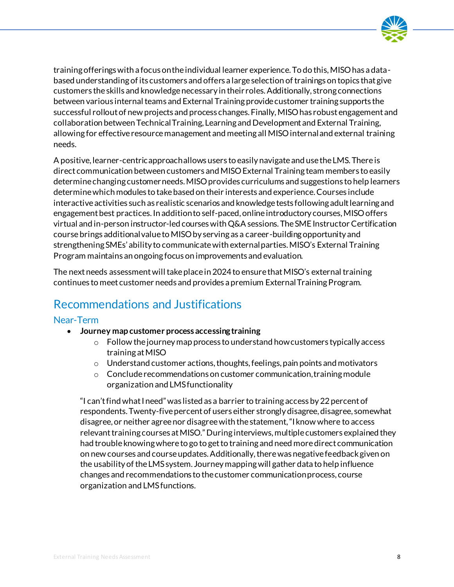

training offerings with a focus on the individual learner experience. To do this, MISO has a databased understanding of its customers and offers a large selection of trainings on topics that give customers the skills and knowledge necessary in their roles. Additionally, strong connections between various internal teams and External Training provide customer training supports the successful rollout of new projects and process changes. Finally, MISO has robust engagement and collaboration between Technical Training, Learning and Development and External Training, allowing for effective resource management and meeting all MISO internal and external training needs.

A positive, learner-centric approach allows users to easily navigate and use the LMS. There is direct communication between customers and MISO External Training team members to easily determine changing customer needs. MISO provides curriculums and suggestions to help learners determine which modules to take based on their interests and experience. Courses include interactive activities such as realistic scenarios and knowledge tests following adult learning and engagement best practices. In addition to self-paced, online introductory courses, MISO offers virtual and in-person instructor-led courses with Q&A sessions. The SME Instructor Certification course brings additional value to MISO by serving as a career-building opportunity and strengthening SMEs' ability to communicate with external parties. MISO's External Training Program maintains an ongoing focus on improvements and evaluation.

The next needs assessment will take place in 2024 to ensure that MISO's external training continues to meet customer needs and provides a premium External Training Program.

## <span id="page-8-0"></span>Recommendations and Justifications

#### Near-Term

- **Journey map customer process accessing training**
	- o Follow the journey map process to understand how customers typically access training at MISO
	- $\circ$  Understand customer actions, thoughts, feelings, pain points and motivators
	- o Conclude recommendations on customer communication, training module organization and LMS functionality

"I can't find what I need" was listed as a barrier to training access by 22 percent of respondents. Twenty-five percent of users either strongly disagree, disagree, somewhat disagree, or neither agree nor disagree with the statement, "I know where to access relevant training courses at MISO." During interviews, multiple customers explained they had trouble knowing where to go to get to training and need more direct communication on new courses and course updates. Additionally, there was negative feedback given on the usability of the LMS system. Journey mapping will gather data to help influence changes and recommendations to the customer communication process, course organization and LMS functions.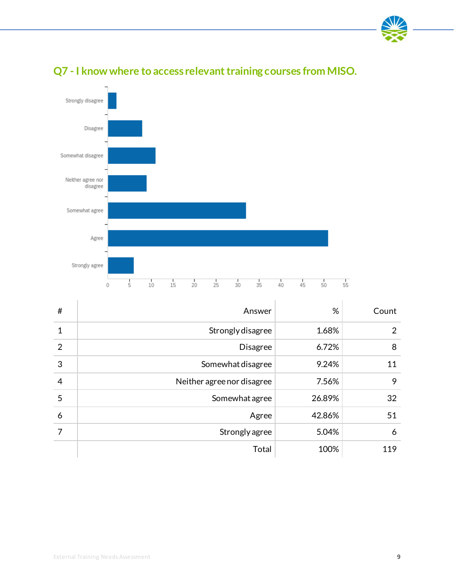



## **Q7 - I know where to access relevant training courses from MISO.**

| #              | Answer                     | %      | Count          |
|----------------|----------------------------|--------|----------------|
| 1              | Strongly disagree          | 1.68%  | $\overline{2}$ |
| $\overline{2}$ | <b>Disagree</b>            | 6.72%  | 8              |
| 3              | Somewhat disagree          | 9.24%  | 11             |
| $\overline{4}$ | Neither agree nor disagree | 7.56%  | 9              |
| 5              | Somewhat agree             | 26.89% | 32             |
| 6              | Agree                      | 42.86% | 51             |
| 7              | Strongly agree             | 5.04%  | 6              |
|                | Total                      | 100%   | 119            |

÷.

Y.

÷.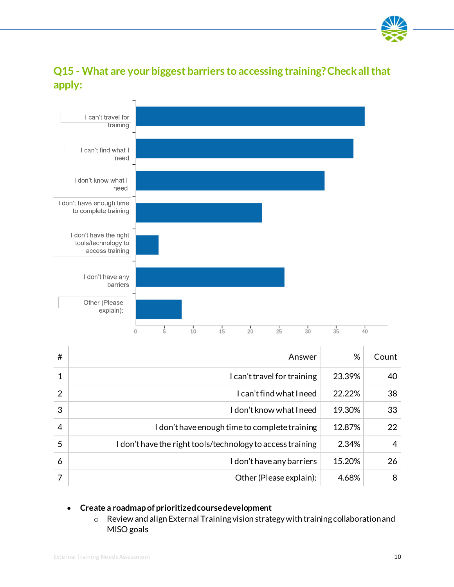

### **Q15 - What are your biggest barriers to accessing training? Check all that apply:**



| #              | Answer                                                     | %      | Count |
|----------------|------------------------------------------------------------|--------|-------|
|                | I can't travel for training                                | 23.39% | 40    |
| $\overline{2}$ | I can't find what I need                                   | 22.22% | 38    |
| 3              | I don't know what I need                                   | 19.30% | 33    |
| $\overline{4}$ | I don't have enough time to complete training              | 12.87% | 22    |
| 5              | I don't have the right tools/technology to access training | 2.34%  | 4     |
| 6              | I don't have any barriers                                  | 15.20% | 26    |
|                | Other (Please explain):                                    | 4.68%  | 8     |

#### • **Create a roadmap of prioritized course development**

o Review and align External Training vision strategy with training collaboration and MISO goals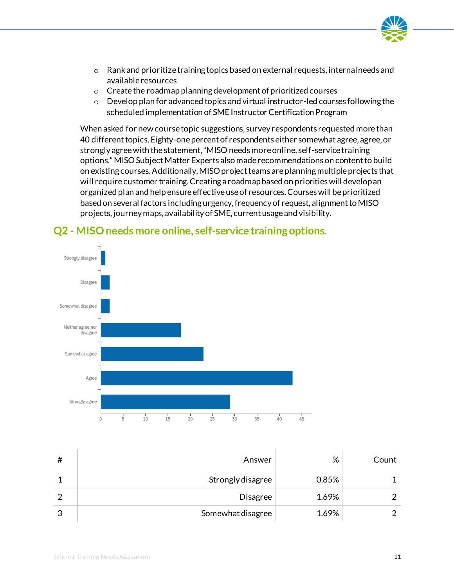

- $\circ$  Rank and prioritize training topics based on external requests, internal needs and available resources
- o Create the roadmap planning development of prioritized courses
- o Develop plan for advanced topics and virtual instructor-led courses following the scheduled implementation of SME Instructor Certification Program

When asked for new course topic suggestions, survey respondents requested more than 40 different topics. Eighty-one percent of respondents either somewhat agree, agree, or strongly agree with the statement, "MISO needs more online, self-service training options." MISO Subject Matter Experts also made recommendations on content to build on existing courses. Additionally, MISO project teams are planning multiple projects that will require customer training. Creating a roadmap based on priorities will develop an organized plan and help ensure effective use of resources. Courses will be prioritized based on several factors including urgency, frequency of request, alignment to MISO projects, journey maps, availability of SME, current usage and visibility.



### **Q2 - MISO needs more online, self-service training options.**

| # | Answer            | %     | Count |
|---|-------------------|-------|-------|
|   | Strongly disagree | 0.85% |       |
|   | <b>Disagree</b>   | 1.69% |       |
| ◠ | Somewhat disagree | 1.69% |       |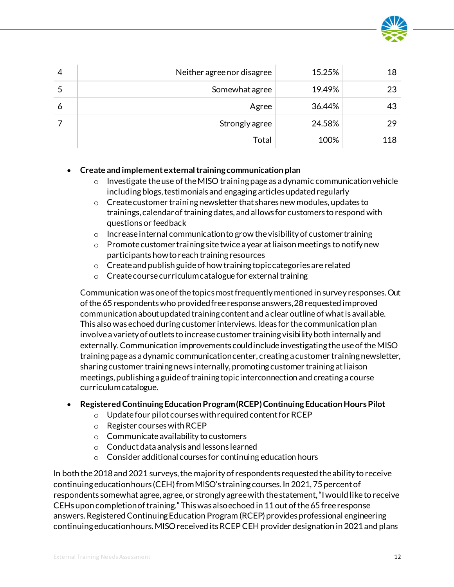

|   | Neither agree nor disagree | 15.25% | 18  |
|---|----------------------------|--------|-----|
|   | Somewhat agree             | 19.49% | 23  |
| 6 | Agree                      | 36.44% | 43  |
|   | Strongly agree             | 24.58% | 29  |
|   | Total                      | 100%   | 118 |

#### • **Create and implement external training communication plan**

- $\circ$  Investigate the use of the MISO training page as a dynamic communication vehicle including blogs, testimonials and engaging articles updated regularly
- o Create customer training newsletter that shares new modules, updates to trainings, calendar of training dates, and allows for customers to respond with questions or feedback
- $\circ$  Increase internal communication to grow the visibility of customer training
- o Promote customer training site twice a year at liaison meetings to notify new participants how to reach training resources
- o Create and publish guide of how training topic categories are related
- o Create course curriculum catalogue for external training

Communication was one of the topics most frequently mentioned in survey responses. Out of the 65 respondents who provided free response answers, 28 requested improved communication about updated training content and a clear outline of what is available. This also was echoed during customer interviews. Ideas for the communication plan involve a variety of outlets to increase customer training visibility both internally and externally. Communication improvements could include investigating the use of the MISO training page as a dynamic communication center, creating a customer training newsletter, sharing customer training news internally, promoting customer training at liaison meetings, publishing a guide of training topic interconnection and creating a course curriculum catalogue.

#### • **Registered Continuing Education Program (RCEP) Continuing Education Hours Pilot**

- o Update four pilot courses with required content for RCEP
- o Register courses with RCEP
- o Communicate availability to customers
- o Conduct data analysis and lessons learned
- o Consider additional courses for continuing education hours

In both the 2018 and 2021 surveys, the majority of respondents requested the ability to receive continuing education hours (CEH) from MISO's training courses. In 2021, 75 percent of respondents somewhat agree, agree, or strongly agree with the statement, "I would like to receive CEHs upon completion of training." This was also echoed in 11 out of the 65 free response answers. Registered Continuing Education Program (RCEP) provides professional engineering continuing education hours. MISO received its RCEP CEH provider designation in 2021 and plans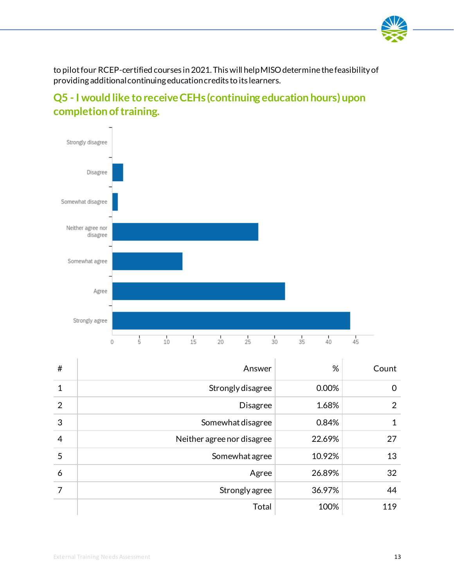

to pilot four RCEP-certified courses in 2021. This will help MISO determine the feasibility of providing additional continuing education credits to its learners.





| #              | Answer                     | %      | Count |
|----------------|----------------------------|--------|-------|
| $\mathbf{1}$   | Strongly disagree          | 0.00%  | 0     |
| $\overline{2}$ | <b>Disagree</b>            | 1.68%  | 2     |
| 3              | Somewhat disagree          | 0.84%  | 1     |
| $\overline{4}$ | Neither agree nor disagree | 22.69% | 27    |
| 5              | Somewhat agree             | 10.92% | 13    |
| 6              | Agree                      | 26.89% | 32    |
| 7              | Strongly agree             | 36.97% | 44    |
|                | Total                      | 100%   | 119   |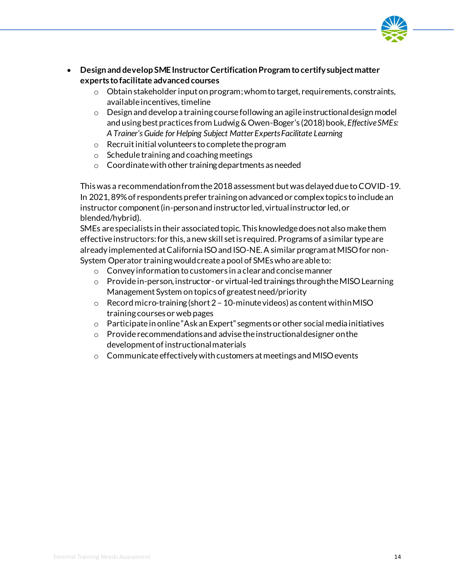

- **Design and develop SME Instructor Certification Program to certify subject matter experts to facilitate advanced courses**
	- $\circ$  Obtain stakeholder input on program; whom to target, requirements, constraints, available incentives, timeline
	- $\circ$  Design and develop a training course following an agile instructional design model and using best practices from Ludwig & Owen-Boger's (2018) book, *Effective SMEs: A Trainer's Guide for Helping Subject Matter Experts Facilitate Learning*
	- o Recruit initial volunteers to complete the program
	- o Schedule training and coaching meetings
	- o Coordinate with other training departments as needed

This was a recommendation from the 2018 assessment but was delayed due to COVID-19. In 2021, 89% of respondents prefer training on advanced or complex topics to include an instructor component (in-person and instructor led, virtual instructor led, or blended/hybrid).

SMEs are specialists in their associated topic. This knowledge does not also make them effective instructors: for this, a new skill set is required. Programs of a similar type are already implemented at California ISO and ISO-NE. A similar program at MISO for non-System Operator training would create a pool of SMEs who are able to:

- o Convey information to customers in a clear and concise manner
- o Provide in-person, instructor- or virtual-led trainings through the MISO Learning Management System on topics of greatest need/priority
- $\circ$  Record micro-training (short 2 10-minute videos) as content within MISO training courses or web pages
- $\circ$  Participate in online "Ask an Expert" segments or other social media initiatives
- o Provide recommendations and advise the instructional designer on the development of instructional materials
- o Communicate effectively with customers at meetings and MISO events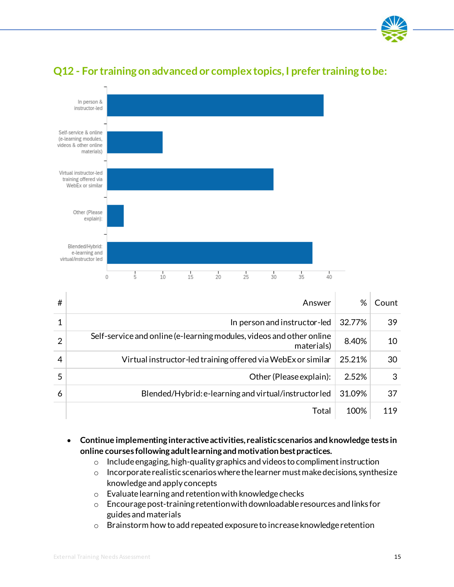



### **Q12 - For training on advanced or complex topics, I prefer training to be:**

| # | Answer                                                                             | %      | Count |
|---|------------------------------------------------------------------------------------|--------|-------|
|   | In person and instructor-led                                                       | 32.77% | 39    |
| 2 | Self-service and online (e-learning modules, videos and other online<br>materials) | 8.40%  | 10    |
| 4 | Virtual instructor-led training offered via WebEx or similar                       | 25.21% | 30    |
| 5 | Other (Please explain):                                                            | 2.52%  | 3     |
| 6 | Blended/Hybrid: e-learning and virtual/instructorled                               | 31.09% | 37    |
|   | Total                                                                              | 100%   | 119   |

- **Continue implementing interactive activities, realistic scenarios and knowledge tests in online courses following adult learning and motivation best practices.**
	- o Include engaging, high-quality graphics and videos to compliment instruction
	- o Incorporate realistic scenarios where the learner must make decisions, synthesize knowledge and apply concepts
	- o Evaluate learning and retention with knowledge checks
	- o Encourage post-training retention with downloadable resources and links for guides and materials
	- o Brainstorm how to add repeated exposure to increase knowledge retention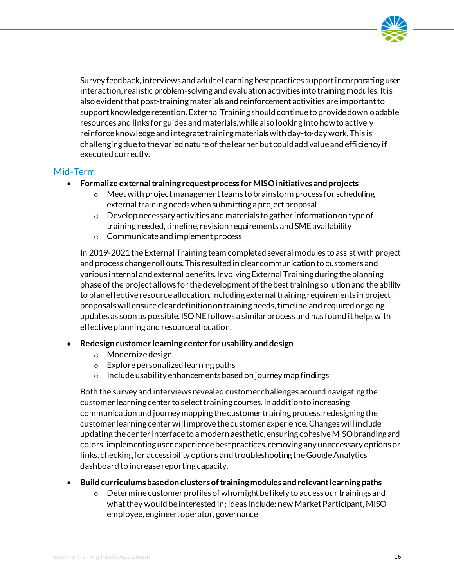

Survey feedback, interviews and adult eLearning best practices support incorporating user interaction, realistic problem-solving and evaluation activities into training modules. It is also evident that post-training materials and reinforcement activities are important to support knowledge retention. External Training should continue to provide downloadable resources and links for guides and materials, while also looking into how to actively reinforce knowledge and integrate training materials with day-to-day work. This is challenging due to the varied nature of the learner but could add value and efficiency if executed correctly.

#### Mid-Term

- **Formalize external training request process for MISO initiatives and projects** 
	- $\circ$  Meet with project management teams to brainstorm process for scheduling external training needs when submitting a project proposal
	- o Develop necessary activities and materials to gather information on type of training needed, timeline, revision requirements and SME availability
	- o Communicate and implement process

In 2019-2021 the External Training team completed several modules to assist with project and process change roll outs. This resulted in clear communication to customers and various internal and external benefits. Involving External Training during the planning phase of the project allows for the development of the best training solution and the ability to plan effective resource allocation. Including external training requirements in project proposals will ensure clear definition on training needs, timeline and required ongoing updates as soon as possible. ISO NE follows a similar process and has found it helps with effective planning and resource allocation.

#### • **Redesign customer learning center for usability and design**

- o Modernize design
- o Explore personalized learning paths
- o Include usability enhancements based on journey map findings

Both the survey and interviews revealed customer challenges around navigating the customer learning center to select training courses. In addition to increasing communication and journey mapping the customer training process, redesigning the customer learning center will improve the customer experience. Changes will include updating the center interface to a modern aesthetic, ensuring cohesive MISO branding and colors, implementing user experience best practices, removing any unnecessary options or links, checking for accessibility options and troubleshooting the Google Analytics dashboard to increase reporting capacity.

#### • **Build curriculums based on clusters of training modules and relevant learning paths**

 $\circ$  Determine customer profiles of who might be likely to access our trainings and what they would be interested in; ideas include: new Market Participant, MISO employee, engineer, operator, governance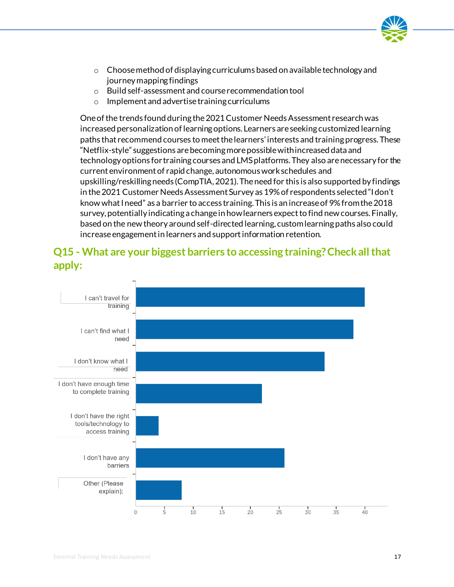

- $\circ$  Choose method of displaying curriculums based on available technology and journey mapping findings
- o Build self-assessment and course recommendation tool
- o Implement and advertise training curriculums

One of the trends found during the 2021 Customer Needs Assessment research was increased personalization of learning options. Learners are seeking customized learning paths that recommend courses to meet the learners' interests and training progress. These "Netflix-style" suggestions are becoming more possible with increased data and technology options for training courses and LMS platforms. They also arenecessary for the current environment of rapid change, autonomous work schedules and upskilling/reskilling needs (CompTIA, 2021). The need for this is also supported by findings in the 2021 Customer Needs Assessment Survey as 19% of respondents selected "I don't know what I need" as a barrier to access training. This is an increase of 9% from the 2018 survey, potentially indicating a change in how learners expect to find new courses. Finally, based on the new theory around self-directed learning, custom learning paths also could increase engagement in learners and support information retention.



### **Q15 - What are your biggest barriers to accessing training? Check all that apply:**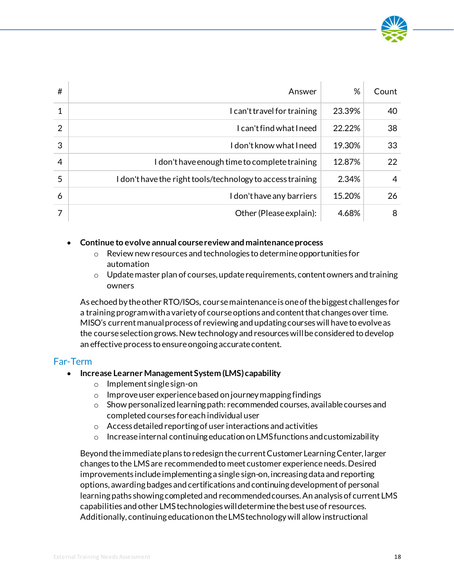

| #              | Answer                                                     | %      | Count |
|----------------|------------------------------------------------------------|--------|-------|
| 1              | I can't travel for training                                | 23.39% | 40    |
| $\overline{2}$ | I can't find what I need                                   | 22.22% | 38    |
| 3              | I don't know what I need                                   | 19.30% | 33    |
| $\overline{4}$ | I don't have enough time to complete training              | 12.87% | 22    |
| 5              | I don't have the right tools/technology to access training | 2.34%  | 4     |
| 6              | I don't have any barriers                                  | 15.20% | 26    |
| 7              | Other (Please explain):                                    | 4.68%  | 8     |

#### • **Continue to evolve annual course review and maintenance process**

- o Review new resources and technologies to determine opportunities for automation
- $\circ$  Update master plan of courses, update requirements, content owners and training owners

As echoed by the other RTO/ISOs, course maintenance is one of the biggest challenges for a training program with a variety of course options and content that changes over time. MISO's current manual process of reviewing and updating courses will have to evolve as the course selection grows. New technology and resources will be considered to develop an effective process to ensure ongoing accurate content.

#### Far-Term

- **Increase Learner Management System (LMS) capability**
	- o Implement single sign-on
	- o Improve user experience based on journey mapping findings
	- o Show personalized learning path: recommended courses, available courses and completed courses for each individual user
	- o Access detailed reporting of user interactions and activities
	- o Increase internal continuing education on LMS functions and customizability

Beyond the immediate plans to redesign the current Customer Learning Center, larger changes to the LMS are recommended to meet customer experience needs. Desired improvements include implementing a single sign-on, increasing data and reporting options, awarding badges and certifications and continuing development of personal learning paths showing completed and recommended courses. An analysis of current LMS capabilities and other LMS technologies will determine the best use of resources. Additionally, continuing education on the LMS technology will allow instructional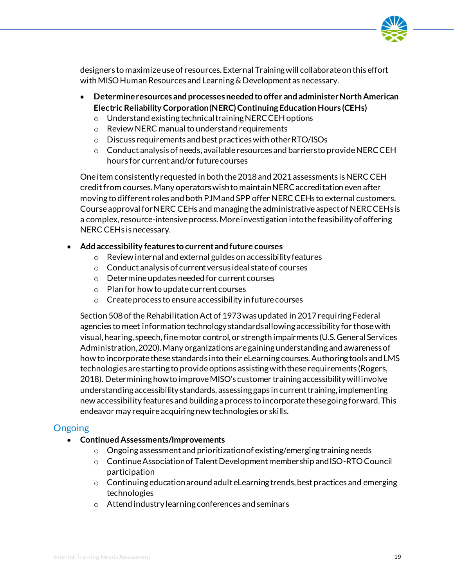

designers to maximize use of resources. External Training will collaborate on this effort with MISO Human Resources and Learning & Development as necessary.

- **Determine resources and processes needed to offer and administer North American Electric Reliability Corporation (NERC) Continuing Education Hours (CEHs)**
	- o Understand existing technical training NERC CEH options
	- o Review NERC manual to understand requirements
	- o Discuss requirements and best practices with other RTO/ISOs
	- $\circ$  Conduct analysis of needs, available resources and barriers to provide NERC CEH hours for current and/or future courses

One item consistently requested in both the 2018 and 2021 assessments is NERC CEH credit from courses. Many operators wish to maintain NERC accreditation even after moving to different roles and both PJM and SPP offer NERC CEHs to external customers. Course approval for NERC CEHs and managing the administrative aspect of NERC CEHs is a complex, resource-intensive process. More investigation into the feasibility of offering NERC CEHs is necessary.

#### • **Add accessibility features to current and future courses**

- o Review internal and external guides on accessibility features
- o Conduct analysis of current versus ideal state of courses
- o Determine updates needed for current courses
- o Plan for how to update current courses
- o Create process to ensure accessibility in future courses

Section 508 of the Rehabilitation Act of 1973 was updated in 2017 requiring Federal agencies to meet information technology standards allowing accessibility for those with visual, hearing, speech, fine motor control, or strength impairments (U.S. General Services Administration, 2020). Many organizations are gaining understanding and awareness of how to incorporate these standards into their eLearning courses. Authoring tools and LMS technologies are starting to provide options assisting with these requirements (Rogers, 2018). Determining how to improve MISO's customer training accessibility will involve understanding accessibility standards, assessing gaps in current training, implementing new accessibility features and building a process to incorporate these going forward. This endeavor may require acquiring new technologies or skills.

### **Ongoing**

- **Continued Assessments/Improvements**
	- $\circ$  Ongoing assessment and prioritization of existing/emerging training needs
	- o Continue Association of Talent Development membership and ISO-RTO Council participation
	- $\circ$  Continuing education around adult eLearning trends, best practices and emerging technologies
	- o Attend industry learning conferences and seminars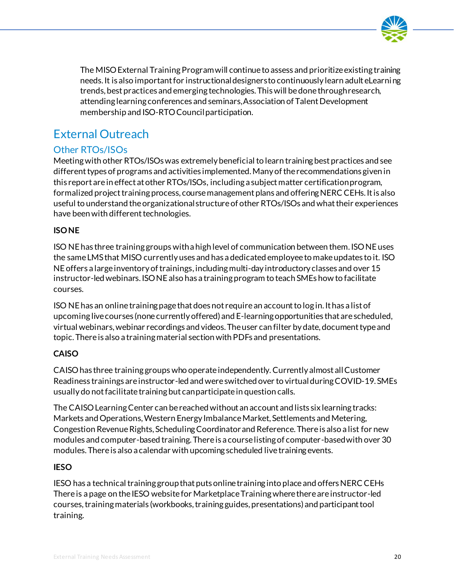

The MISO External Training Program will continue to assess and prioritize existing training needs. It is also important for instructional designers to continuously learn adult eLearning trends, best practices and emerging technologies. This will be done through research, attending learning conferences and seminars, Association of Talent Development membership and ISO-RTO Council participation.

## <span id="page-20-0"></span>External Outreach

### Other RTOs/ISOs

Meetingwith other RTOs/ISOs was extremely beneficial to learn training best practices and see different types of programs and activities implemented. Many of the recommendations given in this report are in effect at other RTOs/ISOs, including a subject matter certification program, formalized project training process, course management plans and offering NERC CEHs. It is also useful to understand the organizational structure of other RTOs/ISOs and what their experiences have been with different technologies.

#### **ISONE**

ISO NE has three training groups with a high level of communication between them. ISO NE uses the same LMS that MISO currently uses and has a dedicated employee to make updates to it. ISO NE offers a large inventory of trainings, including multi-day introductory classes and over 15 instructor-led webinars.ISO NE also has a training program to teach SMEs how to facilitate courses.

ISO NE has an online training page that does not require an account to log in. It has a list of upcoming live courses (none currently offered) and E-learning opportunities that are scheduled, virtual webinars, webinar recordings and videos. The user can filter by date, document type and topic. There is also a training material section with PDFs and presentations.

### **CAISO**

CAISO has three training groups who operate independently. Currently almost all Customer Readiness trainings are instructor-led and were switched over to virtualduring COVID-19. SMEs usually do not facilitate training but can participate in question calls.

The CAISO Learning Center can be reached without an account and lists six learning tracks: Markets and Operations, Western Energy Imbalance Market, Settlements and Metering, Congestion Revenue Rights, Scheduling Coordinator and Reference. There is also a list for new modules and computer-based training. There is a course listing of computer-based with over 30 modules. Thereis also a calendar with upcoming scheduled live training events.

### **IESO**

IESO has a technical training group that putsonline training into place and offers NERC CEHs There is a page on the IESO website for Marketplace Training where there are instructor-led courses, training materials (workbooks, training guides, presentations) and participant tool training.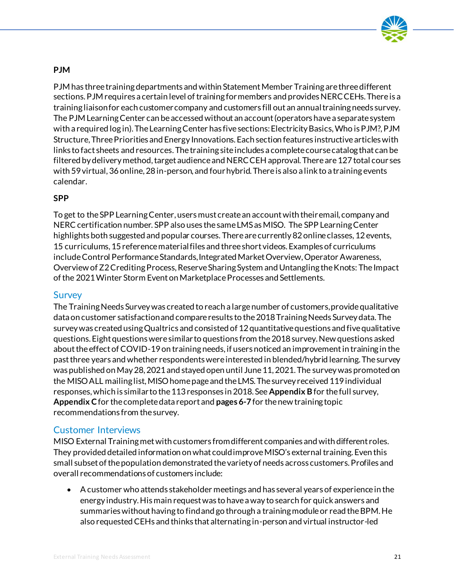

#### **PJM**

PJM has three training departments and within Statement Member Training are three different sections. PJM requires a certain level of training for members and provides NERC CEHs. There is a training liaison for each customer company and customers fill out an annual training needs survey. The PJM Learning Center can be accessed without an account (operators have a separate system with a required log in). The Learning Center has five sections: Electricity Basics, Who is PJM?, PJM Structure, Three Priorities and Energy Innovations. Each section features instructive articles with links to fact sheets and resources. The training site includes a complete course catalog that can be filtered by delivery method, target audience and NERC CEH approval. There are 127 total cour ses with 59 virtual, 36 online, 28 in-person, and fourhybrid. There is also a link to a training events calendar.

#### **SPP**

To get to the SPP Learning Center, users must create an account with their email, company and NERC certification number. SPP also uses the same LMS as MISO. The SPP Learning Center highlights both suggested and popular courses. There are currently 82 online classes, 12 events, 15 curriculums, 15 reference material files and three short videos. Examples of curriculums includeControl Performance Standards, Integrated Market Overview, Operator Awareness, Overview of Z2 Crediting Process, Reserve Sharing System and Untangling the Knots: The Impact of the 2021 Winter Storm Event on Marketplace Processes and Settlements.

#### **Survey**

The Training Needs Survey was created to reach a large number of customers, provide qualitative data on customer satisfaction and compare results to the 2018 Training Needs Survey data. The survey was created using Qualtrics and consisted of 12 quantitative questions and five qualitative questions. Eight questions were similar to questions from the 2018 survey. New questions asked about the effect of COVID-19 on training needs, if users noticed an improvement in training in the past three years and whether respondents were interested in blended/hybrid learning. The survey was published on May 28, 2021 and stayed open until June 11, 2021. The survey was promoted on the MISO ALL mailing list, MISO home page and the LMS. The survey received 119 individual responses, which is similar to the 113 responses in 2018. See **Appendix B**for the full survey, **Appendix C**for the complete data report and **pages6-7**for the new training topic recommendations from the survey.

### Customer Interviews

MISO External Training met with customers from different companies and with different roles. They provided detailed information on what could improve MISO's external training. Even this small subset of the population demonstrated the variety of needs across customers. Profiles and overall recommendations of customers include:

• A customer who attends stakeholder meetings and has several years of experience in the energy industry. His main request was to have a way to search for quick answers and summaries without having to find and go through a training module or read the BPM. He also requested CEHs and thinks that alternating in-person and virtual instructor-led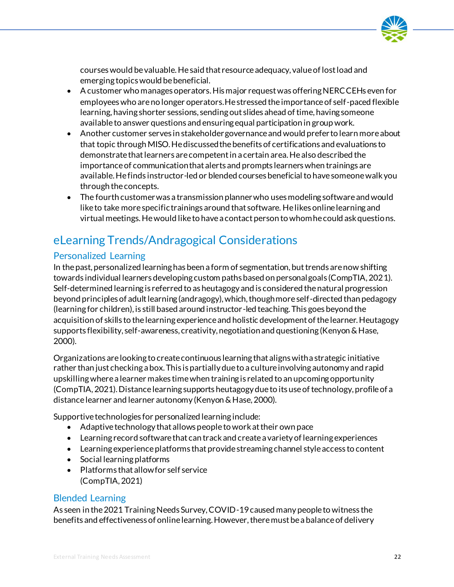

courses would be valuable. He said that resource adequacy, value of lost load and emerging topics would be beneficial.

- A customer who manages operators. His major request was offering NERC CEHs even for employees who are no longer operators. He stressed the importance of self-paced flexible learning, having shorter sessions, sending out slides ahead of time, having someone available to answer questions and ensuring equal participation in group work.
- Another customer serves in stakeholder governance and would prefer to learn more about that topic through MISO. He discussed the benefits of certifications and evaluations to demonstrate that learners are competent in a certain area. He also described the importance of communication that alerts and prompts learners when trainings are available. He finds instructor-led or blended courses beneficial to have someone walk you through the concepts.
- The fourth customer was a transmission planner who uses modeling software and would like to take more specific trainings around that software. He likes online learning and virtual meetings. He would like to have a contact person to whom he could ask questions.

## <span id="page-22-0"></span>eLearning Trends/Andragogical Considerations

### Personalized Learning

In the past, personalized learning has been a form of segmentation, but trends are now shifting towards individual learners developing custom paths based on personal goals (CompTIA, 2021). Self-determined learning is referred to as heutagogy and is considered the natural progression beyond principles of adult learning (andragogy), which, though more self-directed than pedagogy (learning for children), is still based around instructor-led teaching. This goes beyond the acquisition of skills to the learning experience and holistic development of the learner. Heutagogy supports flexibility, self-awareness, creativity, negotiationand questioning (Kenyon & Hase, 2000).

Organizations are looking to create continuous learning that aligns with a strategic initiative rather than just checking a box. This is partially due to a culture involving autonomy and rapid upskilling where a learner makes time when training is related to an upcoming opportunity (CompTIA, 2021). Distance learning supports heutagogy due to its use of technology, profile of a distance learner and learner autonomy (Kenyon & Hase, 2000).

Supportive technologies for personalized learning include:

- Adaptive technology that allows people to work at their own pace
- Learning record software that can track and create a variety of learning experiences
- Learning experience platforms that provide streaming channel style access to content
- Social learning platforms
- Platforms that allow for self service (CompTIA, 2021)

### Blended Learning

As seen in the 2021 Training Needs Survey, COVID-19 caused many people to witness the benefits and effectiveness of online learning. However, there must be a balance of delivery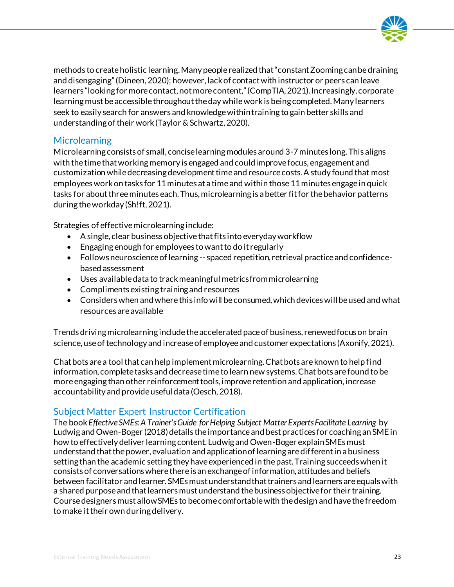

methods to create holistic learning. Many people realized that "constant Zooming can be draining and disengaging" (Dineen, 2020); however, lack of contact with instructor or peers can leave learners "looking for more contact, not more content," (CompTIA, 2021). Increasingly, corporate learning must be accessible throughout the day while work is being completed. Many learners seek to easily search for answers and knowledge within training to gain better skills and understanding of their work (Taylor & Schwartz, 2020).

#### **Microlearning**

Microlearning consists of small, concise learning modules around 3-7 minutes long. This aligns with the time that working memory is engaged and could improve focus, engagement and customization while decreasing development time and resource costs. A study found that most employees work on tasks for 11 minutes at a time and within those 11 minutes engage in quick tasks for about three minutes each. Thus, microlearning is a better fit for the behavior patterns during the workday (Sh!ft, 2021).

Strategies of effective microlearning include:

- A single, clear business objective that fits into everyday workflow
- Engaging enough for employees to want to do it regularly
- Follows neuroscience of learning -- spaced repetition, retrieval practice and confidencebased assessment
- Uses available data to track meaningful metrics from microlearning
- Compliments existing training and resources
- Considers when and where this info will be consumed, which devices will be used and what resources are available

Trends driving microlearning include the accelerated pace of business, renewed focus on brain science, use of technology and increase of employee and customer expectations (Axonify, 2021).

Chat bots are a tool that can help implement microlearning. Chat bots are known to help find information, complete tasks and decrease time to learn new systems. Chat bots are found to be more engaging than other reinforcement tools, improve retention and application, increase accountability and provide useful data (Oesch, 2018).

### Subject Matter Expert Instructor Certification

The book *Effective SMEs: A Trainer's Guide for Helping Subject Matter Experts Facilitate Learning* by Ludwig and Owen-Boger (2018) details the importance and best practices for coaching an SME in how to effectively deliver learning content. Ludwig and Owen-Boger explain SMEs must understand that the power, evaluation and application of learning are different in a business setting than the academic setting they have experienced in the past. Training succeeds when it consists of conversations where there is an exchange of information, attitudes and beliefs between facilitator and learner. SMEs must understand that trainers and learners are equals with a shared purpose and that learners must understand the business objective for their training. Course designers must allow SMEs to become comfortable with the design and have the freedom to make it their own during delivery.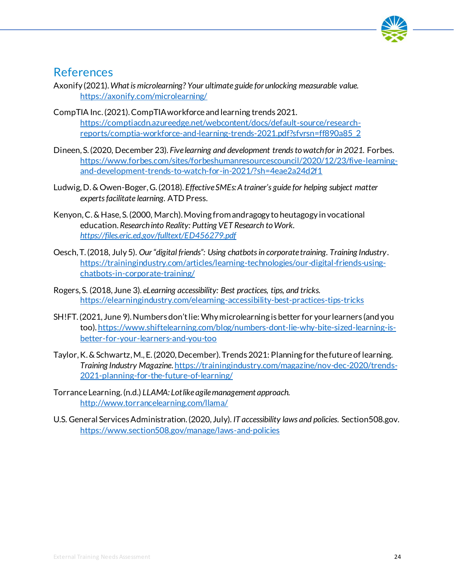

### <span id="page-24-0"></span>References

- Axonify (2021). *What is microlearning? Your ultimate guide for unlocking measurable value.* <https://axonify.com/microlearning/>
- CompTIA Inc. (2021). CompTIA workforce and learning trends 2021. [https://comptiacdn.azureedge.net/webcontent/docs/default-source/research](https://comptiacdn.azureedge.net/webcontent/docs/default-source/research-reports/comptia-workforce-and-learning-trends-2021.pdf?sfvrsn=ff890a85_2)[reports/comptia-workforce-and-learning-trends-2021.pdf?sfvrsn=ff890a85\\_2](https://comptiacdn.azureedge.net/webcontent/docs/default-source/research-reports/comptia-workforce-and-learning-trends-2021.pdf?sfvrsn=ff890a85_2)
- Dineen, S. (2020, December 23). *Five learning and development trends to watch for in 2021.* Forbes. [https://www.forbes.com/sites/forbeshumanresourcescouncil/2020/12/23/five-learning](https://www.forbes.com/sites/forbeshumanresourcescouncil/2020/12/23/five-learning-and-development-trends-to-watch-for-in-2021/?sh=4eae2a24d2f1)[and-development-trends-to-watch-for-in-2021/?sh=4eae2a24d2f1](https://www.forbes.com/sites/forbeshumanresourcescouncil/2020/12/23/five-learning-and-development-trends-to-watch-for-in-2021/?sh=4eae2a24d2f1)
- Ludwig, D. & Owen-Boger, G. (2018). *Effective SMEs: A trainer's guide for helping subject matter experts facilitate learning.* ATD Press.
- Kenyon, C. & Hase, S. (2000, March). Moving from andragogy to heutagogy in vocational education. *Research into Reality: Putting VET Research to Work. <https://files.eric.ed.gov/fulltext/ED456279.pdf>*
- Oesch, T. (2018, July 5). *Our "digital friends": Using chatbots in corporate training. Training Industry*. [https://trainingindustry.com/articles/learning-technologies/our-digital-friends-using](https://trainingindustry.com/articles/learning-technologies/our-digital-friends-using-chatbots-in-corporate-training/)[chatbots-in-corporate-training/](https://trainingindustry.com/articles/learning-technologies/our-digital-friends-using-chatbots-in-corporate-training/)
- Rogers, S. (2018, June 3). *eLearning accessibility: Best practices, tips, and tricks.*  <https://elearningindustry.com/elearning-accessibility-best-practices-tips-tricks>
- SH!FT. (2021, June 9). Numbers don't lie: Why microlearning is better for your learners (and you too)[. https://www.shiftelearning.com/blog/numbers-dont-lie-why-bite-sized-learning-is](https://www.shiftelearning.com/blog/numbers-dont-lie-why-bite-sized-learning-is-better-for-your-learners-and-you-too)[better-for-your-learners-and-you-too](https://www.shiftelearning.com/blog/numbers-dont-lie-why-bite-sized-learning-is-better-for-your-learners-and-you-too)
- Taylor, K. & Schwartz, M., E. (2020, December). Trends 2021: Planning for the future of learning. *Training Industry Magazine*[. https://trainingindustry.com/magazine/nov-dec-2020/trends-](https://trainingindustry.com/magazine/nov-dec-2020/trends-2021-planning-for-the-future-of-learning/)[2021-planning-for-the-future-of-learning/](https://trainingindustry.com/magazine/nov-dec-2020/trends-2021-planning-for-the-future-of-learning/)
- Torrance Learning. (n.d.) *LLAMA: Lot like agile management approach.*  <http://www.torrancelearning.com/llama/>
- U.S. General Services Administration. (2020, July). *IT accessibility laws and policies*. Section508.gov. <https://www.section508.gov/manage/laws-and-policies>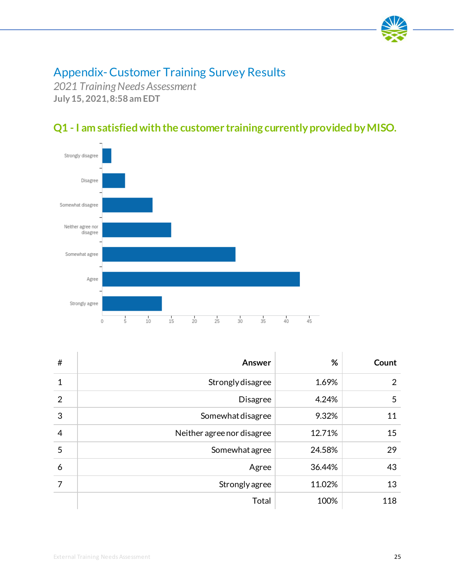

## <span id="page-25-0"></span>Appendix-Customer Training Survey Results

*2021 Training Needs Assessment* **July 15, 2021, 8:58 am EDT**





| #              | Answer                     | %      | Count          |
|----------------|----------------------------|--------|----------------|
| $\mathbf{1}$   | Strongly disagree          | 1.69%  | $\overline{2}$ |
| $\overline{2}$ | <b>Disagree</b>            | 4.24%  | 5              |
| 3              | Somewhat disagree          | 9.32%  | 11             |
| $\overline{4}$ | Neither agree nor disagree | 12.71% | 15             |
| 5              | Somewhat agree             | 24.58% | 29             |
| 6              | Agree                      | 36.44% | 43             |
| 7              | Strongly agree             | 11.02% | 13             |
|                | Total                      | 100%   | 118            |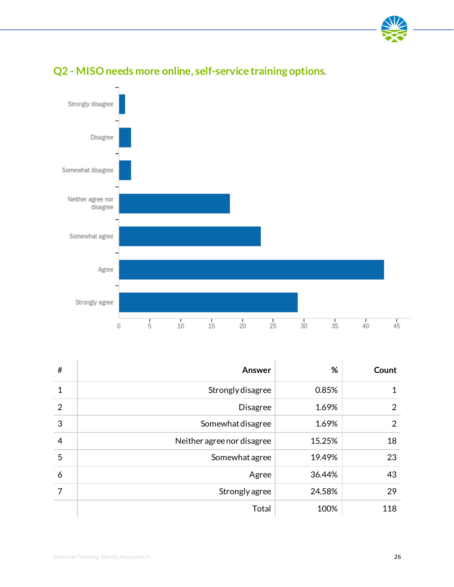



## **Q2 - MISO needs more online, self-service training options.**

| #              | Answer                     | %      | Count          |
|----------------|----------------------------|--------|----------------|
| 1              | Strongly disagree          | 0.85%  |                |
| $\overline{2}$ | <b>Disagree</b>            | 1.69%  | $\overline{2}$ |
| 3              | Somewhat disagree          | 1.69%  | $\overline{2}$ |
| $\overline{4}$ | Neither agree nor disagree | 15.25% | 18             |
| 5              | Somewhat agree             | 19.49% | 23             |
| 6              | Agree                      | 36.44% | 43             |
| 7              | Strongly agree             | 24.58% | 29             |
|                | Total                      | 100%   | 118            |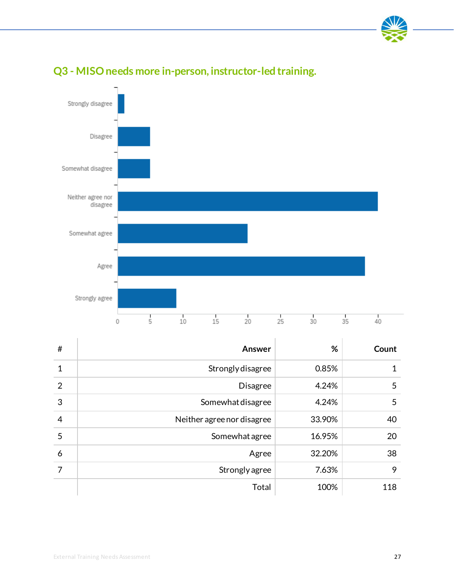



### **Q3 - MISO needs more in-person, instructor-led training.**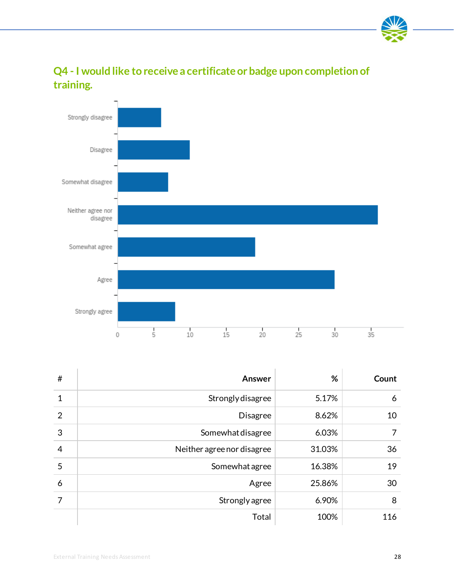

**Q4 - I would like to receive a certificate or badge upon completion of training.**



| #              | Answer                     | %      | Count |
|----------------|----------------------------|--------|-------|
| $\mathbf 1$    | Strongly disagree          | 5.17%  | 6     |
| $\overline{2}$ | <b>Disagree</b>            | 8.62%  | 10    |
| 3              | Somewhat disagree          | 6.03%  |       |
| $\overline{4}$ | Neither agree nor disagree | 31.03% | 36    |
| 5              | Somewhat agree             | 16.38% | 19    |
| 6              | Agree                      | 25.86% | 30    |
| 7              | Strongly agree             | 6.90%  | 8     |
|                | Total                      | 100%   | 116   |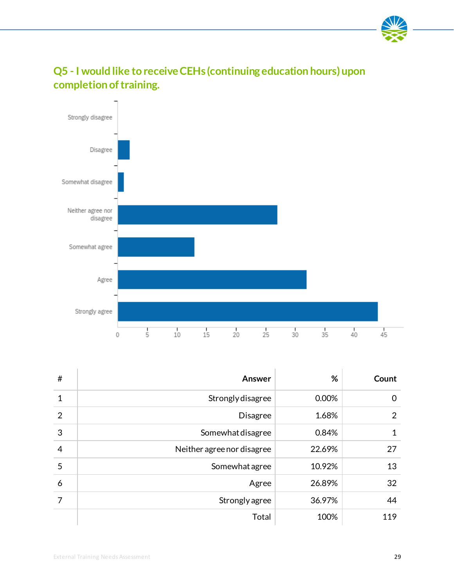



## **Q5 - I would like to receive CEHs (continuing education hours) upon completion of training.**

| #              | Answer                     | %      | Count |
|----------------|----------------------------|--------|-------|
| 1              | Strongly disagree          | 0.00%  | 0     |
| $\overline{2}$ | <b>Disagree</b>            | 1.68%  | 2     |
| 3              | Somewhat disagree          | 0.84%  |       |
| $\overline{4}$ | Neither agree nor disagree | 22.69% | 27    |
| 5              | Somewhat agree             | 10.92% | 13    |
| 6              | Agree                      | 26.89% | 32    |
| 7              | Strongly agree             | 36.97% | 44    |
|                | Total                      | 100%   | 119   |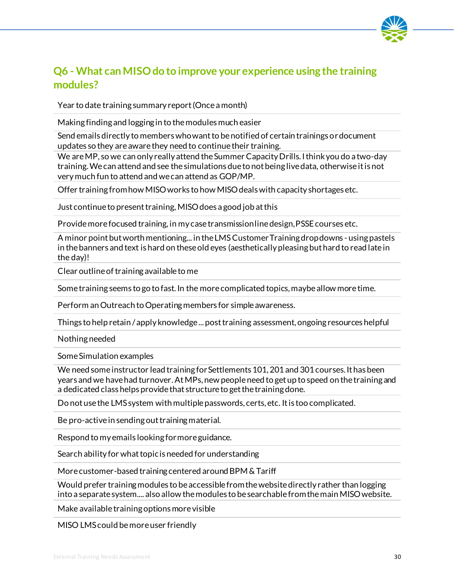

### **Q6 - What can MISO do to improve your experience using the training modules?**

Year to date training summary report (Once a month)

Making finding and logging in to the modules much easier

Send emails directly to members who want to be notified of certain trainings or document updates so they are aware they need to continue their training.

We are MP, so we can only really attend the Summer Capacity Drills. I think you do a two-day training. We can attend and see the simulations due to not being live data, otherwise it is not very much fun to attend and we can attend as GOP/MP.

Offer training from how MISO works to how MISO deals with capacity shortages etc.

Just continue to present training, MISO does a good job at this

Provide more focused training, in my case transmission line design, PSSE courses etc.

A minor point but worth mentioning... in the LMS Customer Training drop downs - using pastels in the banners and text is hard on these old eyes (aesthetically pleasing but hard to read late in the day)!

Clear outline of training available to me

Some training seems to go to fast. In the more complicated topics, maybe allow more time.

Perform an Outreach to Operating members for simple awareness.

Things to help retain / apply knowledge ... post training assessment, ongoing resources helpful

Nothing needed

Some Simulation examples

We need some instructor lead training for Settlements 101, 201 and 301 courses. It has been years and we have had turnover. AtMPs, new people need to get up to speed on the training and a dedicated class helps provide that structure to get the training done.

Do not use the LMS system with multiple passwords, certs, etc. Itis too complicated.

Be pro-active in sending out training material.

Respond to my emails looking for more guidance.

Search ability for what topic is needed for understanding

More customer-based training centered around BPM & Tariff

Would prefer training modules to be accessible from the website directly rather than logging into a separate system.... also allow the modules to be searchable from the main MISO website.

Make available training options more visible

MISO LMS could be more user friendly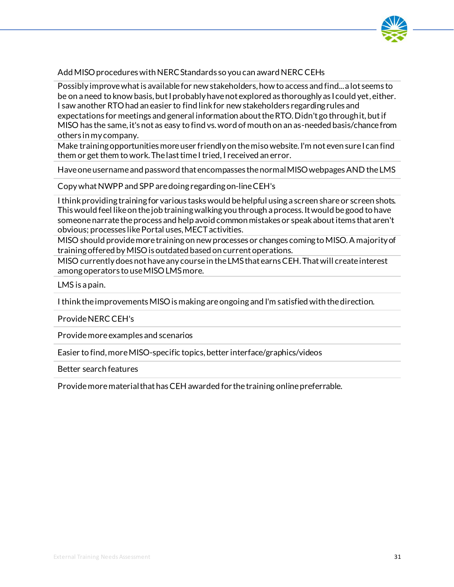

#### Add MISO procedures with NERC Standards so you can award NERC CEHs

Possibly improve what is available for new stakeholders, how to access and find... a lot seems to be on a need to know basis, but I probably have not explored as thoroughly as I could yet, either. I saw another RTO had an easier to find link for new stakeholders regarding rules and expectations for meetings and general information about the RTO. Didn't go through it, but if MISO has the same, it's not as easy to find vs. word of mouth on an as-needed basis/chance from others in my company.

Make training opportunities more user friendly on the miso website. I'm not even sure I can find them or get them to work. The last time I tried, I received an error.

Have one username and password that encompasses the normal MISO webpages AND the LMS

Copy what NWPP and SPP are doing regarding on-line CEH's

I think providing training for various tasks would be helpful using a screen share or screen shots. This would feel like on the job training walking you through a process. It would be good to have someone narrate the process and help avoid common mistakes or speak about items that aren't obvious; processes like Portal uses, MECT activities.

MISO should provide more training on new processes or changes coming to MISO. A majority of training offered by MISO is outdated based on current operations.

MISO currently does not have any course in the LMS that earns CEH. That will create interest among operators to use MISO LMS more.

LMS is a pain.

I think the improvements MISO is making are ongoing and I'm satisfied with the direction.

Provide NERC CEH's

Provide more examples and scenarios

Easier to find, more MISO-specific topics, better interface/graphics/videos

Better search features

Provide more material that has CEH awarded for the training online preferrable.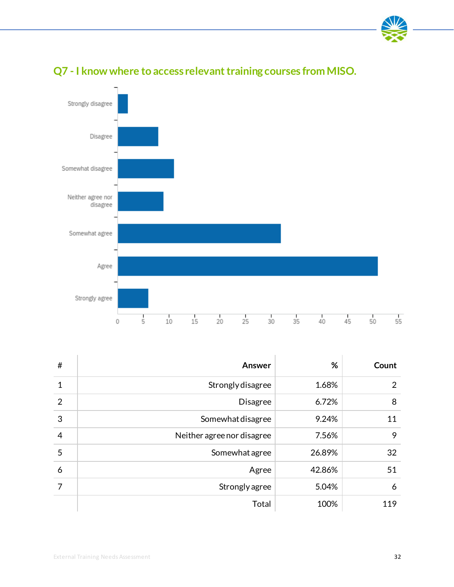



## **Q7 - I know where to access relevant training courses from MISO.**

| #              | Answer                     | %      | Count |
|----------------|----------------------------|--------|-------|
| 1              | Strongly disagree          | 1.68%  | 2     |
| $\overline{2}$ | <b>Disagree</b>            | 6.72%  | 8     |
| 3              | Somewhat disagree          | 9.24%  | 11    |
| $\overline{4}$ | Neither agree nor disagree | 7.56%  | 9     |
| 5              | Somewhat agree             | 26.89% | 32    |
| 6              | Agree                      | 42.86% | 51    |
| 7              | Strongly agree             | 5.04%  | 6     |
|                | Total                      | 100%   | 119   |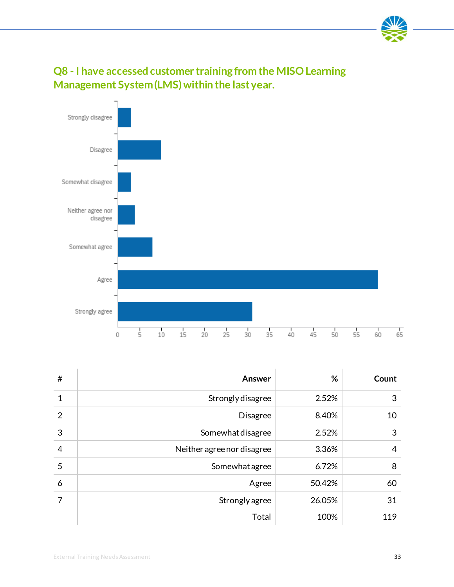

## **Q8 - I have accessed customer training from the MISO Learning Management System (LMS) within the last year.**



| $\#$           | Answer                     | %      | Count          |
|----------------|----------------------------|--------|----------------|
| 1              | Strongly disagree          | 2.52%  | 3              |
| $\overline{2}$ | <b>Disagree</b>            | 8.40%  | 10             |
| 3              | Somewhat disagree          | 2.52%  | 3              |
| $\overline{4}$ | Neither agree nor disagree | 3.36%  | $\overline{4}$ |
| 5              | Somewhat agree             | 6.72%  | 8              |
| 6              | Agree                      | 50.42% | 60             |
| 7              | Strongly agree             | 26.05% | 31             |
|                | Total                      | 100%   | 119            |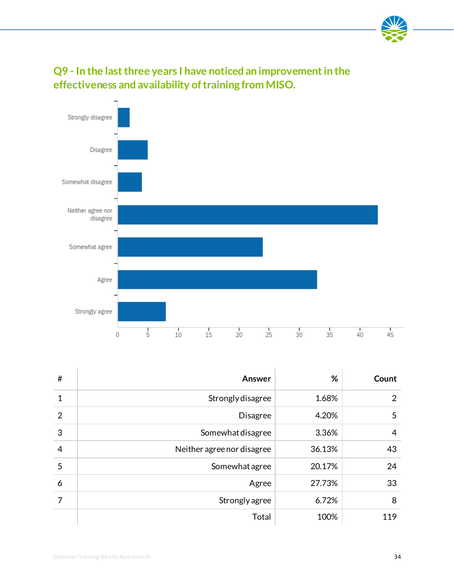

## **Q9 - In the last three years I have noticed an improvement in the effectiveness and availability of training from MISO.**



| #              | Answer                     | %      | Count          |
|----------------|----------------------------|--------|----------------|
| 1              | Strongly disagree          | 1.68%  | $\overline{2}$ |
| $\overline{2}$ | <b>Disagree</b>            | 4.20%  | 5              |
| 3              | Somewhat disagree          | 3.36%  | $\overline{4}$ |
| $\overline{4}$ | Neither agree nor disagree | 36.13% | 43             |
| 5              | Somewhat agree             | 20.17% | 24             |
| 6              | Agree                      | 27.73% | 33             |
| 7              | Strongly agree             | 6.72%  | 8              |
|                | <b>Total</b>               | 100%   | 119            |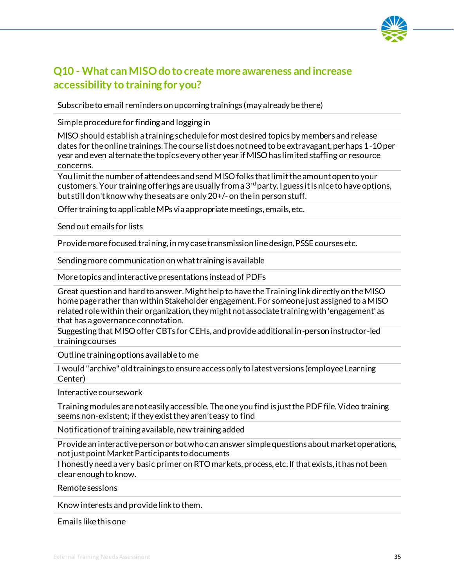

### **Q10 - What can MISO do to create more awareness and increase accessibility to training for you?**

Subscribe to email reminders on upcoming trainings (may already be there)

Simple procedure for finding and logging in

MISO should establish a training schedule for most desired topics by members and release dates for the online trainings. The course list does not need to be extravagant, perhaps 1-10 per year and even alternate the topics every other year if MISO has limited staffing or resource concerns.

You limit the number of attendees and send MISO folks that limit the amount open to your customers. Your training offerings are usually from a  $3<sup>rd</sup>$  party. I guess it is nice to have options, but still don't know why the seats are only 20+/- on the in person stuff.

Offer training to applicable MPs via appropriate meetings, emails, etc.

Send out emails for lists

Provide more focused training, in my case transmission line design, PSSE courses etc.

Sending more communication on what training is available

More topics and interactive presentations instead of PDFs

Great question and hard to answer. Might help to have the Training link directly on the MISO home page rather than within Stakeholder engagement. For someone just assigned to a MISO related role within their organization, they might not associate training with 'engagement' as that has a governance connotation.

Suggesting that MISO offer CBTs for CEHs, and provide additional in-person instructor-led training courses

Outline training options available to me

I would "archive" old trainings to ensure access only to latest versions (employee Learning Center)

Interactive coursework

Training modules are not easily accessible. The one you find is just the PDF file. Video training seems non-existent; if they exist they aren't easy to find

Notification of training available, new training added

Provide an interactive person or bot who can answer simple questions about market operations, not just point Market Participants to documents

I honestly need a very basic primer on RTO markets, process, etc. If that exists, it has not been clear enough to know.

Remote sessions

Know interests and provide link to them.

Emails like this one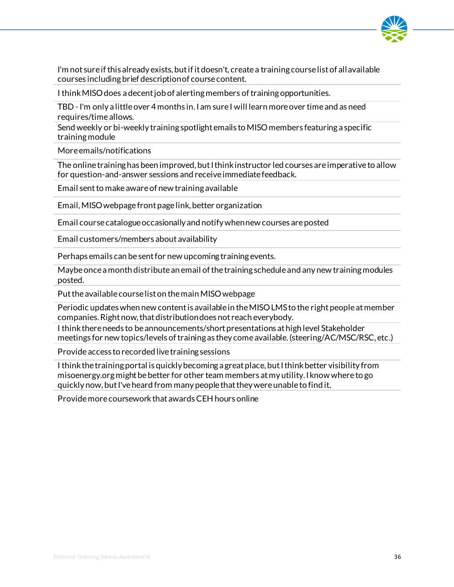

I'm not sure if this already exists, but if it doesn't, create a training course list of all available courses including brief description of course content.

I think MISO does a decent job of alerting members of training opportunities.

TBD -I'm only a little over 4 months in.I am sure I will learn more over time and as need requires/time allows.

Send weekly or bi-weekly training spotlight emails to MISO members featuring a specific training module

More emails/notifications

The online training has been improved, but I think instructor led courses are imperative to allow for question-and-answer sessions and receive immediate feedback.

Email sent to make aware of new training available

Email, MISOwebpage front page link, better organization

Email course catalogue occasionally and notify when new courses are posted

Email customers/members about availability

Perhaps emails can be sent for new upcoming training events.

Maybe once a month distribute an email of the training schedule and any new training modules posted.

Put the available course list on the main MISO webpage

Periodic updateswhen new content is available in the MISO LMS to the right people at member companies. Right now, that distribution does not reach everybody.

I think there needs to be announcements/short presentations at high level Stakeholder meetings for new topics/levels of training as they come available. (steering/AC/MSC/RSC, etc.)

Provide access to recorded live training sessions

I think the training portal is quickly becoming a great place, but I think better visibility from misoenergy.org might be better for other team members at my utility. I know where to go quickly now, but I've heard from many people that they were unable to find it.

Provide more coursework that awards CEH hours online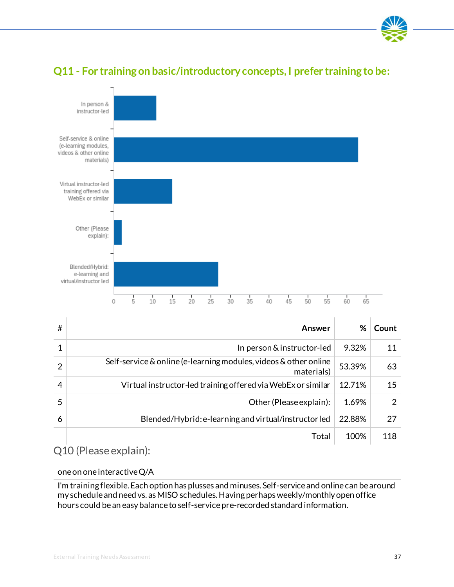



### **Q11 - For training on basic/introductory concepts, I prefer training to be:**

| # | Answer                                                                         | %      | Count |
|---|--------------------------------------------------------------------------------|--------|-------|
|   | In person & instructor-led                                                     | 9.32%  | 11    |
| 2 | Self-service & online (e-learning modules, videos & other online<br>materials) | 53.39% | 63    |
| 4 | Virtual instructor-led training offered via WebEx or similar                   | 12.71% | 15    |
| 5 | Other (Please explain):                                                        | 1.69%  | 2     |
| 6 | Blended/Hybrid: e-learning and virtual/instructorled                           | 22.88% | 27    |
|   | Total                                                                          | 100%   | 118   |

Q10 (Please explain):

#### one on one interactive Q/A

I'm training flexible. Each option has plusses and minuses. Self-service and online can be around my schedule and need vs. as MISO schedules. Having perhaps weekly/monthly open office hours could be an easy balance to self-service pre-recorded standard information.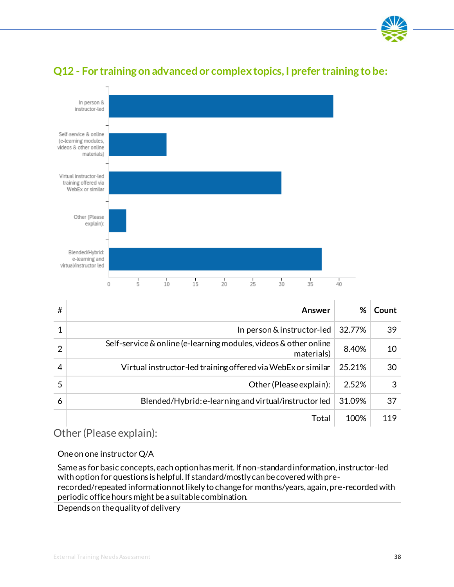



### **Q12 - For training on advanced or complex topics, I prefer training to be:**

| #             | Answer                                                                         | %      | Count |
|---------------|--------------------------------------------------------------------------------|--------|-------|
|               | In person & instructor-led                                                     | 32.77% | 39    |
| $\mathcal{P}$ | Self-service & online (e-learning modules, videos & other online<br>materials) | 8.40%  | 10    |
|               | Virtual instructor-led training offered via WebEx or similar                   | 25.21% | 30    |
| 5             | Other (Please explain):                                                        | 2.52%  | 3     |
| 6             | Blended/Hybrid: e-learning and virtual/instructorled                           | 31.09% | 37    |
|               | Total                                                                          | 100%   | 119   |

Other (Please explain):

One on one instructor Q/A

Same as for basic concepts, each option has merit. If non-standard information, instructor-led with option for questions is helpful. If standard/mostly can be covered with prerecorded/repeated information not likely to change for months/years, again, pre-recorded with periodic office hours might be a suitable combination.

Depends on the quality of delivery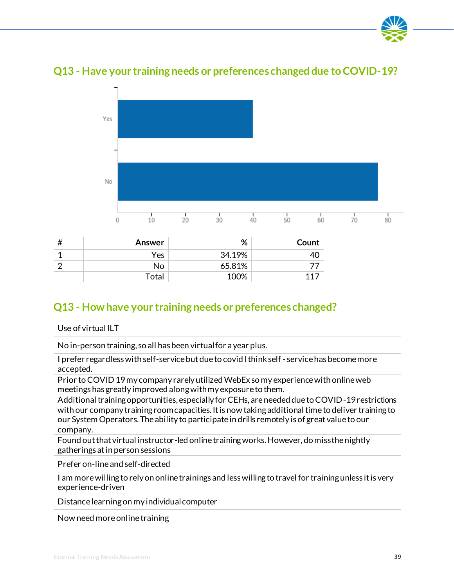



Total 100% 117

### **Q13 - Have your training needs or preferences changed due to COVID-19?**

### **Q13 - How have your training needs or preferences changed?**

Use of virtual ILT

No in-person training, so all has been virtual for a year plus.

I prefer regardless with self-service but due to covid I think self - service has become more accepted.

Prior to COVID 19 my company rarely utilized WebEx so my experience with online web meetings has greatly improved along with my exposure to them.

Additional training opportunities, especially for CEHs, are needed due to COVID-19 restrictions with our company training room capacities. It is now taking additional time to deliver training to our System Operators. The ability to participate in drills remotely is of great value to our company.

Found out that virtual instructor-led online training works. However, do miss the nightly gatherings at in person sessions

Prefer on-line and self-directed

I am more willing to rely on online trainings and less willing to travel for training unless it is very experience-driven

Distance learning on my individual computer

Now need more online training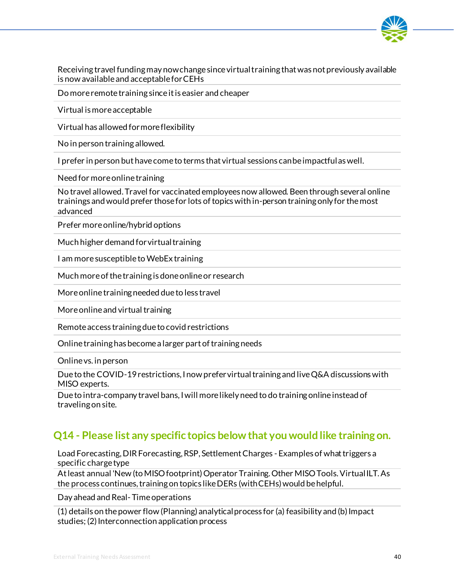

Receiving travel funding may now change since virtual training that was not previously available is now available and acceptable for CEHs

Do more remote training since it is easier and cheaper

Virtual is more acceptable

Virtual has allowed for more flexibility

No in person training allowed.

I prefer in person but have come to terms that virtual sessions can be impactful as well.

Need for more online training

No travel allowed.Travel for vaccinated employees now allowed. Been through several online trainings and would prefer those for lots of topics with in-person training only for the most advanced

Prefer more online/hybrid options

Much higher demand for virtual training

I am more susceptible to WebEx training

Much more of the training is done online or research

More online training needed due to less travel

More online and virtual training

Remote access training due to covid restrictions

Online training has become a larger part of training needs

Online vs. in person

Due to the COVID-19 restrictions, I now prefer virtual training and live Q&A discussions with MISO experts.

Due to intra-company travel bans, I will more likely need to do training online instead of traveling on site.

### **Q14 - Please list any specific topics below that you would like training on.**

Load Forecasting, DIR Forecasting, RSP, Settlement Charges - Examples of what triggers a specific charge type

At least annual 'New (to MISO footprint) Operator Training. Other MISO Tools. Virtual ILT. As the process continues, training on topics like DERs (with CEHs) would be helpful.

Day ahead and Real- Time operations

(1) details on the power flow (Planning) analytical process for (a) feasibility and (b) Impact studies; (2) Interconnection application process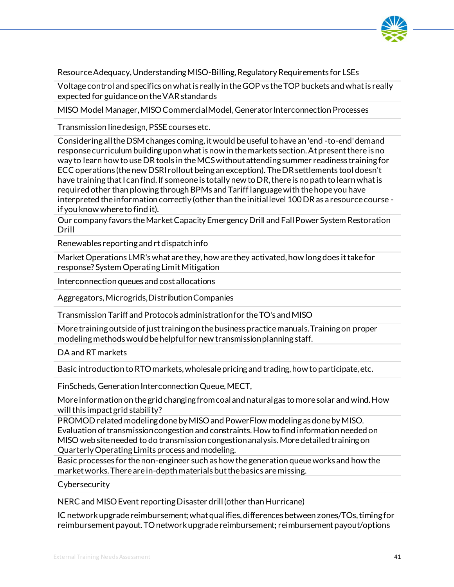

Resource Adequacy, Understanding MISO-Billing, Regulatory Requirements for LSEs

Voltage control and specifics on what is really in the GOP vs the TOP buckets and what is really expected for guidance on the VAR standards

MISO Model Manager, MISO Commercial Model, Generator Interconnection Processes

Transmission line design, PSSE courses etc.

Considering all the DSM changes coming, it would be useful to have an 'end -to-end' demand response curriculum building upon what is now in the markets section. At present there is no way to learn how to useDR tools in the MCS without attending summer readiness training for ECC operations (the new DSRI rollout being an exception). The DR settlements tool doesn't have training that I can find. If someone is totally new to DR, there is no path to learn what is required other than plowing through BPMs and Tariff language with the hope you have interpreted the information correctly (other than the initial level 100 DR as a resource course if you know where to find it).

Our company favors the Market Capacity Emergency Drill and Fall Power System Restoration Drill

Renewables reporting and rt dispatch info

Market Operations LMR's what are they, how are they activated, how long does it take for response? System Operating Limit Mitigation

Interconnection queues and cost allocations

Aggregators, Microgrids, Distribution Companies

Transmission Tariff and Protocols administration for the TO's and MISO

More training outside of just training on the business practice manuals. Training on proper modeling methods would be helpful for new transmission planning staff.

DA and RT markets

Basic introduction to RTO markets, wholesale pricing and trading, how to participate, etc.

FinScheds, Generation Interconnection Queue, MECT,

More information on the grid changing from coal and natural gas to more solar and wind. How will this impact grid stability?

PROMOD related modeling done by MISO and PowerFlow modeling as done by MISO. Evaluation of transmission congestion and constraints. Howto find information needed on MISO web site needed to do transmission congestion analysis. More detailed training on Quarterly Operating Limits process and modeling.

Basic processes for the non-engineer such as how the generation queue works and how the market works. There are in-depth materials but the basics are missing.

Cybersecurity

NERC and MISO Event reporting Disaster drill (other than Hurricane)

IC network upgrade reimbursement; what qualifies, differences between zones/TOs, timing for reimbursement payout. TO network upgrade reimbursement; reimbursement payout/options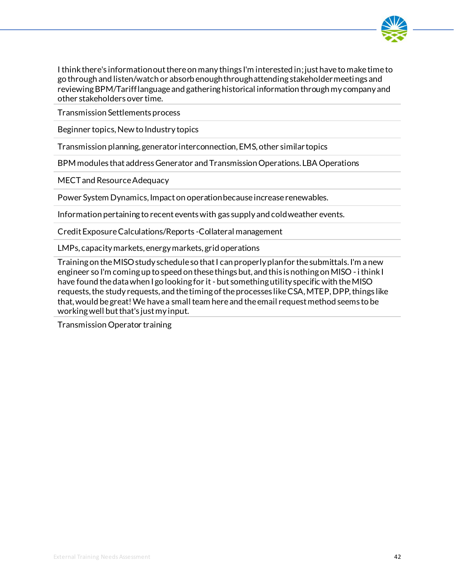

I think there's information out there on many things I'm interested in; just have to make time to go through and listen/watch or absorb enough through attending stakeholder meetings and reviewing BPM/Tariff language and gathering historical information through my company and other stakeholders over time.

Transmission Settlements process

Beginner topics, New to Industry topics

Transmission planning, generator interconnection, EMS, other similar topics

BPM modules that address Generator and Transmission Operations. LBA Operations

MECT and Resource Adequacy

Power System Dynamics, Impact on operation because increase renewables.

Information pertaining to recent events with gas supply and cold weather events.

Credit Exposure Calculations/Reports -Collateral management

LMPs, capacity markets, energy markets, grid operations

Training on the MISO study schedule so that I can properly plan for the submittals. I'm a new engineer so I'm coming up to speed on these things but, and this is nothing on MISO - i think I have found the data when I go looking for it - but something utility specific with the MISO requests, the study requests, and the timing of the processes like CSA, MTEP, DPP, things like that, would be great! We have a small team here and the email request method seems to be working well but that's just my input.

Transmission Operator training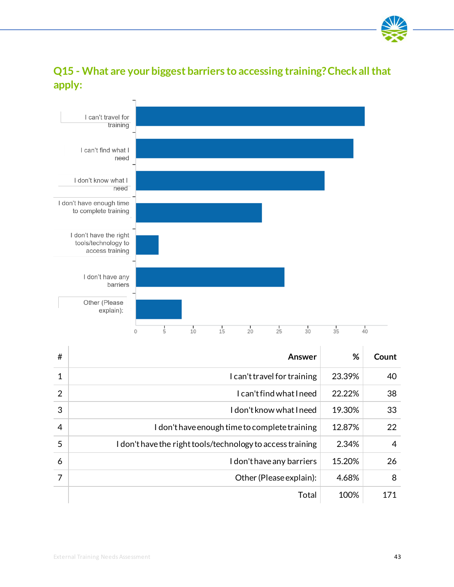

### **Q15 - What are your biggest barriers to accessing training? Check all that apply:**



| #              | Answer                                                     | %      | Count          |
|----------------|------------------------------------------------------------|--------|----------------|
| 1              | I can't travel for training                                | 23.39% | 40             |
| $\overline{2}$ | I can't find what I need                                   | 22.22% | 38             |
| 3              | I don't know what I need                                   | 19.30% | 33             |
| $\overline{4}$ | I don't have enough time to complete training              | 12.87% | 22             |
| 5              | I don't have the right tools/technology to access training | 2.34%  | $\overline{4}$ |
| 6              | I don't have any barriers                                  | 15.20% | 26             |
| 7              | Other (Please explain):                                    | 4.68%  | 8              |
|                | Total                                                      | 100%   | 171            |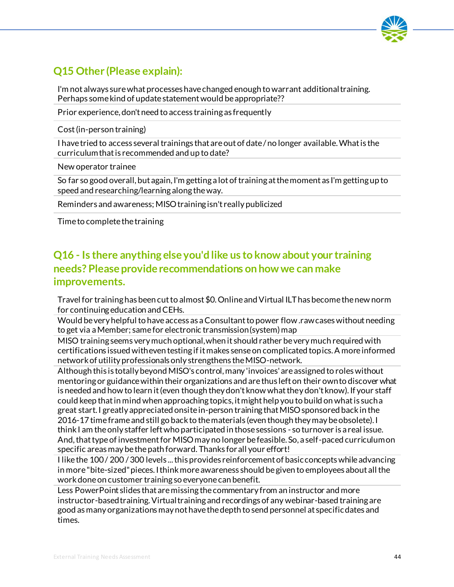

### **Q15 Other (Please explain):**

I'm not always sure what processes have changed enough to warrant additional training. Perhaps some kind of update statement would be appropriate??

Prior experience, don't need to access training as frequently

Cost (in-person training)

I have tried to access several trainings that are out of date / no longer available. What is the curriculum that is recommended and up to date?

New operator trainee

So far so good overall, but again, I'm getting a lot of training at the moment as I'm getting up to speed and researching/learning along the way.

Reminders and awareness; MISO training isn't really publicized

Time to complete the training

### **Q16 - Is there anything else you'd like us to know about your training needs? Please provide recommendations on how we can make improvements.**

Travel for training has been cut to almost \$0. Online and Virtual ILT has become the new norm for continuing education and CEHs.

Would be very helpful to have access as a Consultant to power flow .rawcases without needing to get via a Member; same for electronic transmission (system) map

MISO training seems very much optional, when it should rather be very much required with certifications issued with even testing if it makes sense on complicated topics. A more informed network of utility professionals only strengthens the MISO-network.

Although this is totally beyond MISO's control, many 'invoices' are assigned to roles without mentoring or guidance within their organizations and are thus left on their own to discover what is needed and how to learn it (even though they don't know what theydon't know). If your staff could keep that in mind when approaching topics, it might help you to build on what is such a great start. I greatly appreciated onsite in-person training that MISO sponsored back in the 2016-17 time frame and still go back to the materials (even though they may be obsolete). I think I am the only staffer left who participated in those sessions - so turnover is a real issue. And, that type of investment for MISO may no longer be feasible. So, a self-paced curriculum on specific areas may be the path forward. Thanks for all your effort!

I like the 100 / 200 / 300 levels ... this provides reinforcement of basic concepts while advancing in more "bite-sized" pieces. I think more awareness should be given to employees about all the work done on customer training so everyone can benefit.

Less PowerPoint slides that are missing the commentary from an instructor and more instructor-basedtraining. Virtual training and recordings of any webinar-based training are good as many organizations may not have the depth to send personnel at specific dates and times.